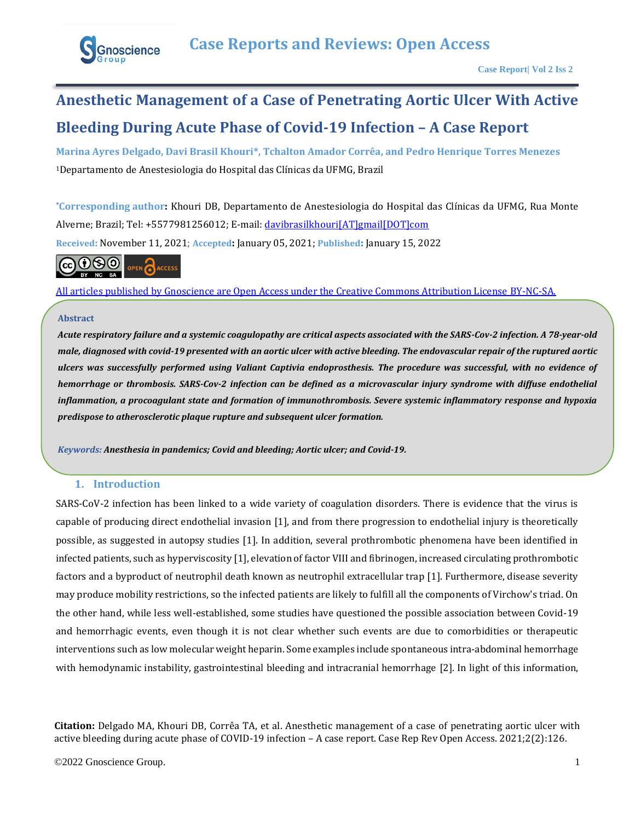

# **Anesthetic Management of a Case of Penetrating Aortic Ulcer With Active Bleeding During Acute Phase of Covid-19 Infection – A Case Report**

**Marina Ayres Delgado, Davi Brasil Khouri\*, Tchalton Amador Corrêa, and Pedro Henrique Torres Menezes**  <sup>1</sup>Departamento de Anestesiologia do Hospital das Clínicas da UFMG, Brazil

**\*Corresponding author:** Khouri DB, Departamento de Anestesiologia do Hospital das Clínicas da UFMG, Rua Monte Alverne; Brazil; Tel: +5577981256012; E-mail[: davibrasilkhouri\[AT\]gmail\[DOT\]com](mailto:davibrasilkhouri@gmail.com) **Received:** November 11, 2021; **Accepted:** January 05, 2021; **Published:** January 15, 2022



[All articles published by Gnoscience are Open Access under the Creative Commons Attribution License BY-NC-SA.](https://creativecommons.org/licenses/by-nc-sa/4.0/)

## **Abstract**

*.*

*Acute respiratory failure and a systemic coagulopathy are critical aspects associated with the SARS-Cov-2 infection. A 78-year-old male, diagnosed with covid-19 presented with an aortic ulcer with active bleeding. The endovascular repair of the ruptured aortic ulcers was successfully performed using Valiant Captivia endoprosthesis. The procedure was successful, with no evidence of hemorrhage or thrombosis. SARS-Cov-2 infection can be defined as a microvascular injury syndrome with diffuse endothelial inflammation, a procoagulant state and formation of immunothrombosis. Severe systemic inflammatory response and hypoxia predispose to atherosclerotic plaque rupture and subsequent ulcer formation.*

*Keywords: Anesthesia in pandemics; Covid and bleeding; Aortic ulcer; and Covid-19.*

# **1. Introduction**

SARS-CoV-2 infection has been linked to a wide variety of coagulation disorders. There is evidence that the virus is capable of producing direct endothelial invasion [1], and from there progression to endothelial injury is theoretically possible, as suggested in autopsy studies [1]. In addition, several prothrombotic phenomena have been identified in infected patients, such as hyperviscosity [1], elevation of factor VIII and fibrinogen, increased circulating prothrombotic factors and a byproduct of neutrophil death known as neutrophil extracellular trap [1]. Furthermore, disease severity may produce mobility restrictions, so the infected patients are likely to fulfill all the components of Virchow's triad. On the other hand, while less well-established, some studies have questioned the possible association between Covid-19 and hemorrhagic events, even though it is not clear whether such events are due to comorbidities or therapeutic interventions such as low molecular weight heparin. Some examples include spontaneous intra-abdominal hemorrhage with hemodynamic instability, gastrointestinal bleeding and intracranial hemorrhage [2]. In light of this information,

**Citation:** Delgado MA, Khouri DB, Corrêa TA, et al. Anesthetic management of a case of penetrating aortic ulcer with active bleeding during acute phase of COVID-19 infection – A case report. Case Rep Rev Open Access. 2021;2(2):126.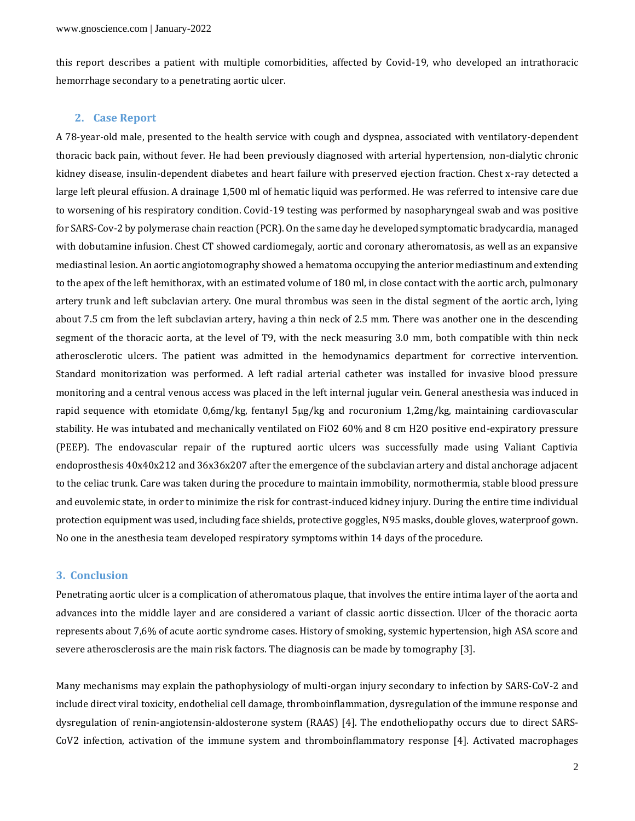this report describes a patient with multiple comorbidities, affected by Covid-19, who developed an intrathoracic hemorrhage secondary to a penetrating aortic ulcer.

#### **2. Case Report**

A 78-year-old male, presented to the health service with cough and dyspnea, associated with ventilatory-dependent thoracic back pain, without fever. He had been previously diagnosed with arterial hypertension, non-dialytic chronic kidney disease, insulin-dependent diabetes and heart failure with preserved ejection fraction. Chest x-ray detected a large left pleural effusion. A drainage 1,500 ml of hematic liquid was performed. He was referred to intensive care due to worsening of his respiratory condition. Covid-19 testing was performed by nasopharyngeal swab and was positive for SARS-Cov-2 by polymerase chain reaction (PCR). On the same day he developed symptomatic bradycardia, managed with dobutamine infusion. Chest CT showed cardiomegaly, aortic and coronary atheromatosis, as well as an expansive mediastinal lesion. An aortic angiotomography showed a hematoma occupying the anterior mediastinum and extending to the apex of the left hemithorax, with an estimated volume of 180 ml, in close contact with the aortic arch, pulmonary artery trunk and left subclavian artery. One mural thrombus was seen in the distal segment of the aortic arch, lying about 7.5 cm from the left subclavian artery, having a thin neck of 2.5 mm. There was another one in the descending segment of the thoracic aorta, at the level of T9, with the neck measuring 3.0 mm, both compatible with thin neck atherosclerotic ulcers. The patient was admitted in the hemodynamics department for corrective intervention. Standard monitorization was performed. A left radial arterial catheter was installed for invasive blood pressure monitoring and a central venous access was placed in the left internal jugular vein. General anesthesia was induced in rapid sequence with etomidate 0,6mg/kg, fentanyl 5µg/kg and rocuronium 1,2mg/kg, maintaining cardiovascular stability. He was intubated and mechanically ventilated on FiO2 60% and 8 cm H2O positive end-expiratory pressure (PEEP). The endovascular repair of the ruptured aortic ulcers was successfully made using Valiant Captivia endoprosthesis 40x40x212 and 36x36x207 after the emergence of the subclavian artery and distal anchorage adjacent to the celiac trunk. Care was taken during the procedure to maintain immobility, normothermia, stable blood pressure and euvolemic state, in order to minimize the risk for contrast-induced kidney injury. During the entire time individual protection equipment was used, including face shields, protective goggles, N95 masks, double gloves, waterproof gown. No one in the anesthesia team developed respiratory symptoms within 14 days of the procedure.

# **3. Conclusion**

Penetrating aortic ulcer is a complication of atheromatous plaque, that involves the entire intima layer of the aorta and advances into the middle layer and are considered a variant of classic aortic dissection. Ulcer of the thoracic aorta represents about 7,6% of acute aortic syndrome cases. History of smoking, systemic hypertension, high ASA score and severe atherosclerosis are the main risk factors. The diagnosis can be made by tomography [3].

Many mechanisms may explain the pathophysiology of multi-organ injury secondary to infection by SARS-CoV-2 and include direct viral toxicity, endothelial cell damage, thromboinflammation, dysregulation of the immune response and dysregulation of renin-angiotensin-aldosterone system (RAAS) [4]. The endotheliopathy occurs due to direct SARS-CoV2 infection, activation of the immune system and thromboinflammatory response [4]. Activated macrophages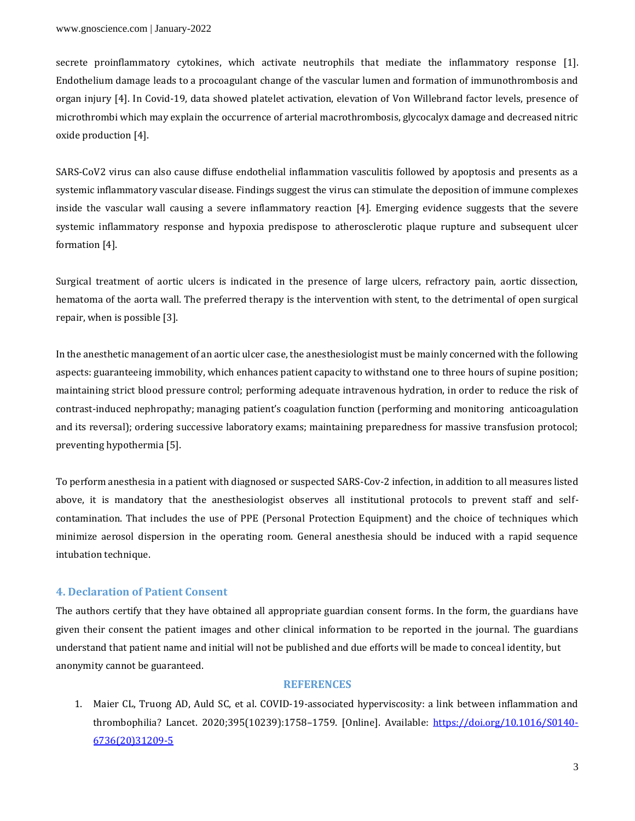secrete proinflammatory cytokines, which activate neutrophils that mediate the inflammatory response [1]. Endothelium damage leads to a procoagulant change of the vascular lumen and formation of immunothrombosis and organ injury [4]. In Covid-19, data showed platelet activation, elevation of Von Willebrand factor levels, presence of microthrombi which may explain the occurrence of arterial macrothrombosis, glycocalyx damage and decreased nitric oxide production [4].

SARS-CoV2 virus can also cause diffuse endothelial inflammation vasculitis followed by apoptosis and presents as a systemic inflammatory vascular disease. Findings suggest the virus can stimulate the deposition of immune complexes inside the vascular wall causing a severe inflammatory reaction [4]. Emerging evidence suggests that the severe systemic inflammatory response and hypoxia predispose to atherosclerotic plaque rupture and subsequent ulcer formation [4].

Surgical treatment of aortic ulcers is indicated in the presence of large ulcers, refractory pain, aortic dissection, hematoma of the aorta wall. The preferred therapy is the intervention with stent, to the detrimental of open surgical repair, when is possible [3].

In the anesthetic management of an aortic ulcer case, the anesthesiologist must be mainly concerned with the following aspects: guaranteeing immobility, which enhances patient capacity to withstand one to three hours of supine position; maintaining strict blood pressure control; performing adequate intravenous hydration, in order to reduce the risk of contrast-induced nephropathy; managing patient's coagulation function (performing and monitoring anticoagulation and its reversal); ordering successive laboratory exams; maintaining preparedness for massive transfusion protocol; preventing hypothermia [5].

To perform anesthesia in a patient with diagnosed or suspected SARS-Cov-2 infection, in addition to all measures listed above, it is mandatory that the anesthesiologist observes all institutional protocols to prevent staff and selfcontamination. That includes the use of PPE (Personal Protection Equipment) and the choice of techniques which minimize aerosol dispersion in the operating room. General anesthesia should be induced with a rapid sequence intubation technique.

#### **4. Declaration of Patient Consent**

The authors certify that they have obtained all appropriate guardian consent forms. In the form, the guardians have given their consent the patient images and other clinical information to be reported in the journal. The guardians understand that patient name and initial will not be published and due efforts will be made to conceal identity, but anonymity cannot be guaranteed.

## **REFERENCES**

1. Maier CL, Truong AD, Auld SC, et al. COVID-19-associated hyperviscosity: a link between inflammation and thrombophilia? Lancet. 2020;395(10239):1758–1759. [Online]. Available: [https://doi.org/10.1016/S0140-](https://doi.org/10.1016/S0140-6736(20)31209-5) [6736\(20\)31209-5](https://doi.org/10.1016/S0140-6736(20)31209-5)